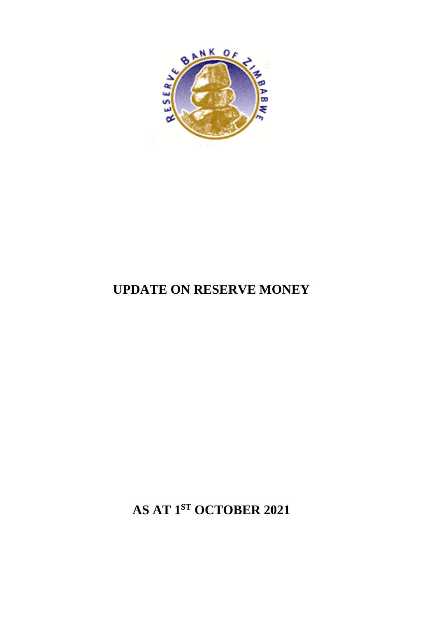**AS AT 1 ST OCTOBER 2021**

## **UPDATE ON RESERVE MONEY**

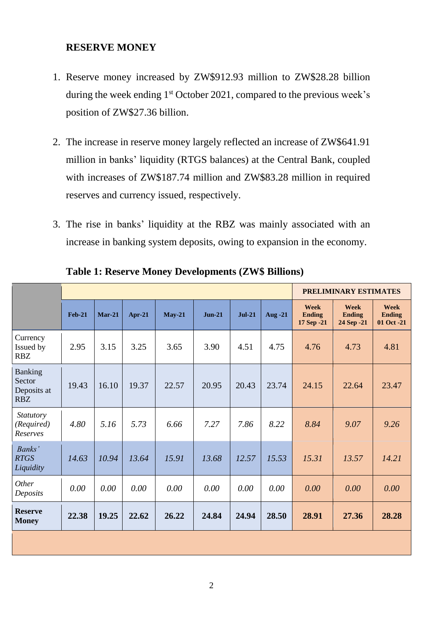## **RESERVE MONEY**

- 1. Reserve money increased by ZW\$912.93 million to ZW\$28.28 billion during the week ending  $1<sup>st</sup>$  October 2021, compared to the previous week's position of ZW\$27.36 billion.
- 2. The increase in reserve money largely reflected an increase of ZW\$641.91 million in banks' liquidity (RTGS balances) at the Central Bank, coupled with increases of ZW\$187.74 million and ZW\$83.28 million in required reserves and currency issued, respectively.
- 3. The rise in banks' liquidity at the RBZ was mainly associated with an increase in banking system deposits, owing to expansion in the economy.

|                                                       |          |          |        |          |          |          |         | <b>PRELIMINARY ESTIMATES</b>        |                                     |                                            |  |
|-------------------------------------------------------|----------|----------|--------|----------|----------|----------|---------|-------------------------------------|-------------------------------------|--------------------------------------------|--|
|                                                       | $Feb-21$ | $Mar-21$ | Apr-21 | $May-21$ | $Jun-21$ | $Jul-21$ | Aug -21 | Week<br><b>Ending</b><br>17 Sep -21 | Week<br><b>Ending</b><br>24 Sep -21 | <b>Week</b><br><b>Ending</b><br>01 Oct -21 |  |
| Currency<br>Issued by<br><b>RBZ</b>                   | 2.95     | 3.15     | 3.25   | 3.65     | 3.90     | 4.51     | 4.75    | 4.76                                | 4.73                                | 4.81                                       |  |
| <b>Banking</b><br>Sector<br>Deposits at<br><b>RBZ</b> | 19.43    | 16.10    | 19.37  | 22.57    | 20.95    | 20.43    | 23.74   | 24.15                               | 22.64                               | 23.47                                      |  |
| <b>Statutory</b><br>(Required)<br>Reserves            | 4.80     | 5.16     | 5.73   | 6.66     | 7.27     | 7.86     | 8.22    | 8.84                                | 9.07                                | 9.26                                       |  |
| Banks'<br><b>RTGS</b><br>Liquidity                    | 14.63    | 10.94    | 13.64  | 15.91    | 13.68    | 12.57    | 15.53   | 15.31                               | 13.57                               | 14.21                                      |  |
| Other<br>Deposits                                     | 0.00     | 0.00     | 0.00   | 0.00     | $0.00\,$ | $0.00\,$ | 0.00    | 0.00                                | 0.00                                | 0.00                                       |  |
| <b>Reserve</b><br><b>Money</b>                        | 22.38    | 19.25    | 22.62  | 26.22    | 24.84    | 24.94    | 28.50   | 28.91                               | 27.36                               | 28.28                                      |  |
|                                                       |          |          |        |          |          |          |         |                                     |                                     |                                            |  |

**Table 1: Reserve Money Developments (ZW\$ Billions)**